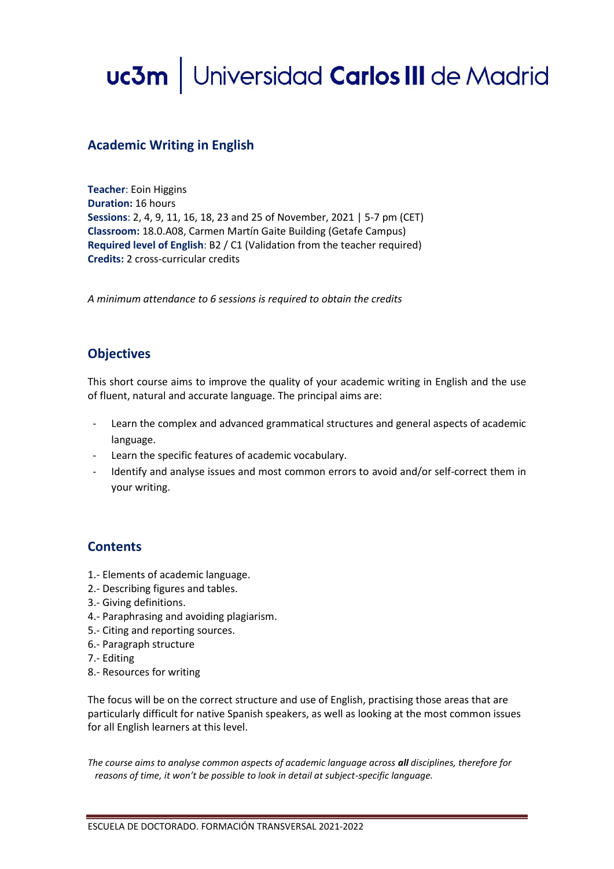# uc3m | Universidad Carlos III de Madrid

#### **Academic Writing in English**

**Teacher**: Eoin Higgins **Duration:** 16 hours **Sessions**: 2, 4, 9, 11, 16, 18, 23 and 25 of November, 2021 | 5-7 pm (CET) **Classroom:** 18.0.A08, Carmen Martín Gaite Building (Getafe Campus) **Required level of English**: B2 / C1 (Validation from the teacher required) **Credits:** 2 cross-curricular credits

*A minimum attendance to 6 sessions is required to obtain the credits*

## **Objectives**

This short course aims to improve the quality of your academic writing in English and the use of fluent, natural and accurate language. The principal aims are:

- Learn the complex and advanced grammatical structures and general aspects of academic language.
- Learn the specific features of academic vocabulary.
- Identify and analyse issues and most common errors to avoid and/or self-correct them in your writing.

## **Contents**

- 1.- Elements of academic language.
- 2.- Describing figures and tables.
- 3.- Giving definitions.
- 4.- Paraphrasing and avoiding plagiarism.
- 5.- Citing and reporting sources.
- 6.- Paragraph structure
- 7.- Editing
- 8.- Resources for writing

The focus will be on the correct structure and use of English, practising those areas that are particularly difficult for native Spanish speakers, as well as looking at the most common issues for all English learners at this level.

*The course aims to analyse common aspects of academic language across all disciplines, therefore for reasons of time, it won't be possible to look in detail at subject-specific language.*